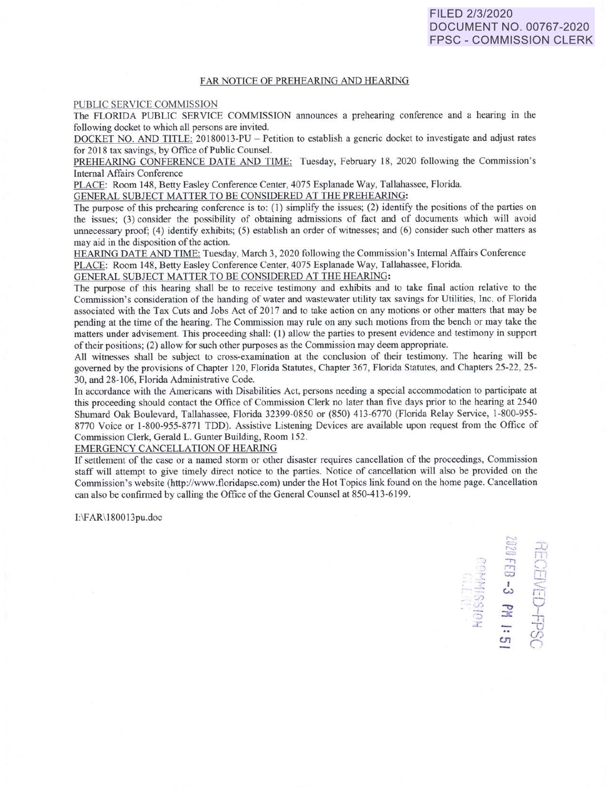**:**<br>BJ 68<br>CCE<br>CCE

~ . w <sup>I</sup>< r;-, .... , • *'..J'J* 0 -0

 $\frac{1}{2}$   $\frac{1}{2}$   $\frac{1}{2}$ 

 $\frac{c}{c}$   $\frac{c}{c}$ 

## FAR NOTICE OF PREHEARING AND HEARING

PUBLIC SERVICE COMMISSION

The FLORIDA PUBLIC SERVICE COMMISSION announces a prehearing conference and a bearing in the following docket to which *all* persons are invited.

DOCKET NO. AND TITLE: 20180013-PU - Petition to establish a generic docket to investigate and adjust rates for 2018 tax savings, by Office of Public Counsel.

PREHEARING CONFERENCE DATE AND TIME: Tuesday, February 18, 2020 following the Commission's Internal Affairs Conference

PLACE: Room 148, Betty Easley Conference Center, 4075 Esplanade Way, Tallahassee, Florida.

GENERAL SUBJECT MATTER TO BE CONSIDERED AT THE PREHEARING:

The purpose of this prehearing conference is to:  $(1)$  simplify the issues;  $(2)$  identify the positions of the parties on the is ues; (3) consider the possibility of obtaining admission of fact and of documents which will avoid unnecessary proof;  $(4)$  identify exhibits;  $(5)$  establish an order of witnesses; and  $(6)$  consider such other matters as may aid in the disposition of the action.

HEARING DATE AND TIME: Tuesday, March 3, 2020 following the Commission's Internal Affairs Conference PLACE: Room 148, Betty Easley Conference Center, 4075 Esplanade Way, Tallahassee, Florida.

GENERAL SUBJECT MATTER TO BE CONSIDERED AT THE HEARING:

The purpose of this hearing shall be to receive testimony and exhibits and to take final action relative to the Commission's consideration of the handing of water and wastewater utility tax savings for Utilities, Inc. of Florida associated with the Tax Cuts and Jobs Act of 2017 and to take action on any motions or other matters that may be pending at the time of the hearing. The Commission may rule on any such motions from the bench or may take the matters under advisement. This proceeding shall: (1) allow the parties to present evidence and testimony in support of their positions; (2) allow for such other purposes as the Commission may deem appropriate.

All witnesses shall be subject to cross-examination at the conclusion of their testimony. The hearing will be governed by the provisions of Chapter 120, Florida Statutes, Chapter 367, Florida Statutes, and Chapters 25-22, 25- 30, and 28-106, Florida Administrative Code.

In accordance with the Americans with Disabilities Act, persons needing a special accommodation to participate at this proceeding should contact the Office of Commission Clerk no later than five days prior to the hearing at 2540 Shumard Oak Boulevard, Tallahassee, Florida 32399-0850 or (850) 413-6770 (Florida Relay Service, 1-800-955-8770 Voice or 1-800-955-8771 TDD). Assistive Listening Devices are available upon request from the Office of Commission Clerk, Gerald L. Gunter Building, Room 152.

EMERGENCY CANCELLATION OF HEARING

If settlement of the case or a named storm or other disaster requires cancellation of the proceedings, Commission staff will attempt to give timely direct notice to the parties. Notice of cancellation will also be provided on the Commission's website (http://www.floridapsc.com) under the Hot Topics link found on the home page. Cancellation can also be confirmed by calling the Office of the General Counsel at 850-413-6199.

l:\F AR\l 80013pu.doc